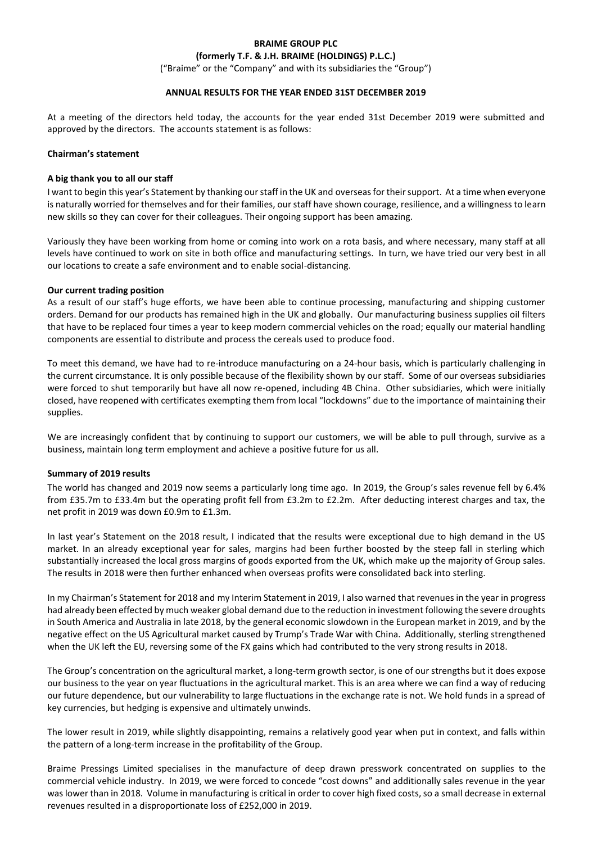# **BRAIME GROUP PLC**

**(formerly T.F. & J.H. BRAIME (HOLDINGS) P.L.C.)**

("Braime" or the "Company" and with its subsidiaries the "Group")

#### **ANNUAL RESULTS FOR THE YEAR ENDED 31ST DECEMBER 2019**

At a meeting of the directors held today, the accounts for the year ended 31st December 2019 were submitted and approved by the directors. The accounts statement is as follows:

#### **Chairman's statement**

#### **A big thank you to all our staff**

I want to begin this year's Statement by thanking our staff in the UK and overseas for their support. At a time when everyone is naturally worried for themselves and for their families, our staff have shown courage, resilience, and a willingness to learn new skills so they can cover for their colleagues. Their ongoing support has been amazing.

Variously they have been working from home or coming into work on a rota basis, and where necessary, many staff at all levels have continued to work on site in both office and manufacturing settings. In turn, we have tried our very best in all our locations to create a safe environment and to enable social-distancing.

#### **Our current trading position**

As a result of our staff's huge efforts, we have been able to continue processing, manufacturing and shipping customer orders. Demand for our products has remained high in the UK and globally. Our manufacturing business supplies oil filters that have to be replaced four times a year to keep modern commercial vehicles on the road; equally our material handling components are essential to distribute and process the cereals used to produce food.

To meet this demand, we have had to re-introduce manufacturing on a 24-hour basis, which is particularly challenging in the current circumstance. It is only possible because of the flexibility shown by our staff. Some of our overseas subsidiaries were forced to shut temporarily but have all now re-opened, including 4B China. Other subsidiaries, which were initially closed, have reopened with certificates exempting them from local "lockdowns" due to the importance of maintaining their supplies.

We are increasingly confident that by continuing to support our customers, we will be able to pull through, survive as a business, maintain long term employment and achieve a positive future for us all.

#### **Summary of 2019 results**

The world has changed and 2019 now seems a particularly long time ago. In 2019, the Group's sales revenue fell by 6.4% from £35.7m to £33.4m but the operating profit fell from £3.2m to £2.2m. After deducting interest charges and tax, the net profit in 2019 was down £0.9m to £1.3m.

In last year's Statement on the 2018 result, I indicated that the results were exceptional due to high demand in the US market. In an already exceptional year for sales, margins had been further boosted by the steep fall in sterling which substantially increased the local gross margins of goods exported from the UK, which make up the majority of Group sales. The results in 2018 were then further enhanced when overseas profits were consolidated back into sterling.

In my Chairman's Statement for 2018 and my Interim Statement in 2019, I also warned that revenues in the year in progress had already been effected by much weaker global demand due to the reduction in investment following the severe droughts in South America and Australia in late 2018, by the general economic slowdown in the European market in 2019, and by the negative effect on the US Agricultural market caused by Trump's Trade War with China. Additionally, sterling strengthened when the UK left the EU, reversing some of the FX gains which had contributed to the very strong results in 2018.

The Group's concentration on the agricultural market, a long-term growth sector, is one of our strengths but it does expose our business to the year on year fluctuations in the agricultural market. This is an area where we can find a way of reducing our future dependence, but our vulnerability to large fluctuations in the exchange rate is not. We hold funds in a spread of key currencies, but hedging is expensive and ultimately unwinds.

The lower result in 2019, while slightly disappointing, remains a relatively good year when put in context, and falls within the pattern of a long-term increase in the profitability of the Group.

Braime Pressings Limited specialises in the manufacture of deep drawn presswork concentrated on supplies to the commercial vehicle industry. In 2019, we were forced to concede "cost downs" and additionally sales revenue in the year was lower than in 2018. Volume in manufacturing is critical in order to cover high fixed costs, so a small decrease in external revenues resulted in a disproportionate loss of £252,000 in 2019.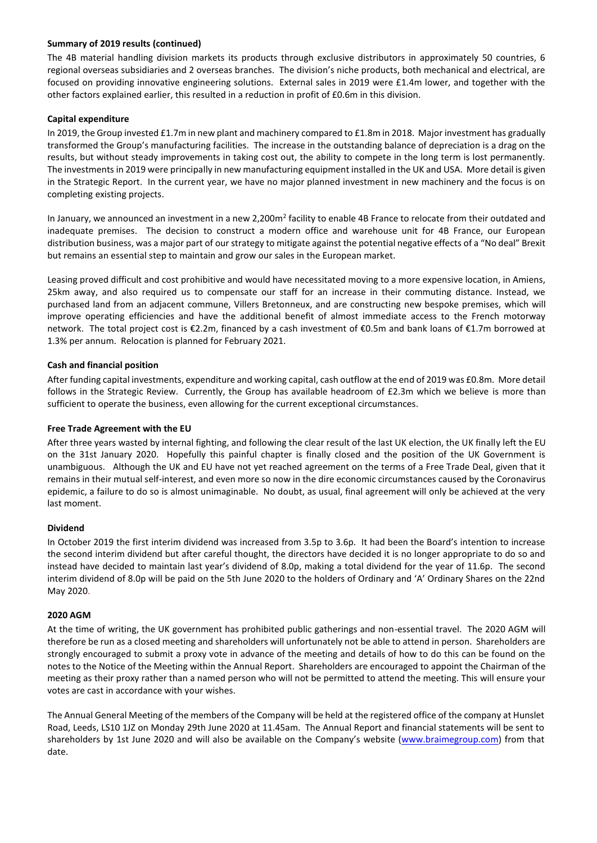## **Summary of 2019 results (continued)**

The 4B material handling division markets its products through exclusive distributors in approximately 50 countries, 6 regional overseas subsidiaries and 2 overseas branches. The division's niche products, both mechanical and electrical, are focused on providing innovative engineering solutions. External sales in 2019 were £1.4m lower, and together with the other factors explained earlier, this resulted in a reduction in profit of £0.6m in this division.

## **Capital expenditure**

In 2019, the Group invested £1.7m in new plant and machinery compared to £1.8m in 2018. Major investment has gradually transformed the Group's manufacturing facilities. The increase in the outstanding balance of depreciation is a drag on the results, but without steady improvements in taking cost out, the ability to compete in the long term is lost permanently. The investments in 2019 were principally in new manufacturing equipment installed in the UK and USA. More detail is given in the Strategic Report. In the current year, we have no major planned investment in new machinery and the focus is on completing existing projects.

In January, we announced an investment in a new 2,200m<sup>2</sup> facility to enable 4B France to relocate from their outdated and inadequate premises. The decision to construct a modern office and warehouse unit for 4B France, our European distribution business, was a major part of our strategy to mitigate against the potential negative effects of a "No deal" Brexit but remains an essential step to maintain and grow our sales in the European market.

Leasing proved difficult and cost prohibitive and would have necessitated moving to a more expensive location, in Amiens, 25km away, and also required us to compensate our staff for an increase in their commuting distance. Instead, we purchased land from an adjacent commune, Villers Bretonneux, and are constructing new bespoke premises, which will improve operating efficiencies and have the additional benefit of almost immediate access to the French motorway network. The total project cost is €2.2m, financed by a cash investment of €0.5m and bank loans of €1.7m borrowed at 1.3% per annum. Relocation is planned for February 2021.

# **Cash and financial position**

After funding capital investments, expenditure and working capital, cash outflow at the end of 2019 was £0.8m. More detail follows in the Strategic Review. Currently, the Group has available headroom of £2.3m which we believe is more than sufficient to operate the business, even allowing for the current exceptional circumstances.

## **Free Trade Agreement with the EU**

After three years wasted by internal fighting, and following the clear result of the last UK election, the UK finally left the EU on the 31st January 2020. Hopefully this painful chapter is finally closed and the position of the UK Government is unambiguous. Although the UK and EU have not yet reached agreement on the terms of a Free Trade Deal, given that it remains in their mutual self-interest, and even more so now in the dire economic circumstances caused by the Coronavirus epidemic, a failure to do so is almost unimaginable. No doubt, as usual, final agreement will only be achieved at the very last moment.

## **Dividend**

In October 2019 the first interim dividend was increased from 3.5p to 3.6p. It had been the Board's intention to increase the second interim dividend but after careful thought, the directors have decided it is no longer appropriate to do so and instead have decided to maintain last year's dividend of 8.0p, making a total dividend for the year of 11.6p. The second interim dividend of 8.0p will be paid on the 5th June 2020 to the holders of Ordinary and 'A' Ordinary Shares on the 22nd May 2020.

## **2020 AGM**

At the time of writing, the UK government has prohibited public gatherings and non-essential travel. The 2020 AGM will therefore be run as a closed meeting and shareholders will unfortunately not be able to attend in person. Shareholders are strongly encouraged to submit a proxy vote in advance of the meeting and details of how to do this can be found on the notes to the Notice of the Meeting within the Annual Report. Shareholders are encouraged to appoint the Chairman of the meeting as their proxy rather than a named person who will not be permitted to attend the meeting. This will ensure your votes are cast in accordance with your wishes.

The Annual General Meeting of the members of the Company will be held at the registered office of the company at Hunslet Road, Leeds, LS10 1JZ on Monday 29th June 2020 at 11.45am. The Annual Report and financial statements will be sent to shareholders by 1st June 2020 and will also be available on the Company's website ([www.braimegroup.com\)](http://www.braimegroup.com/) from that date.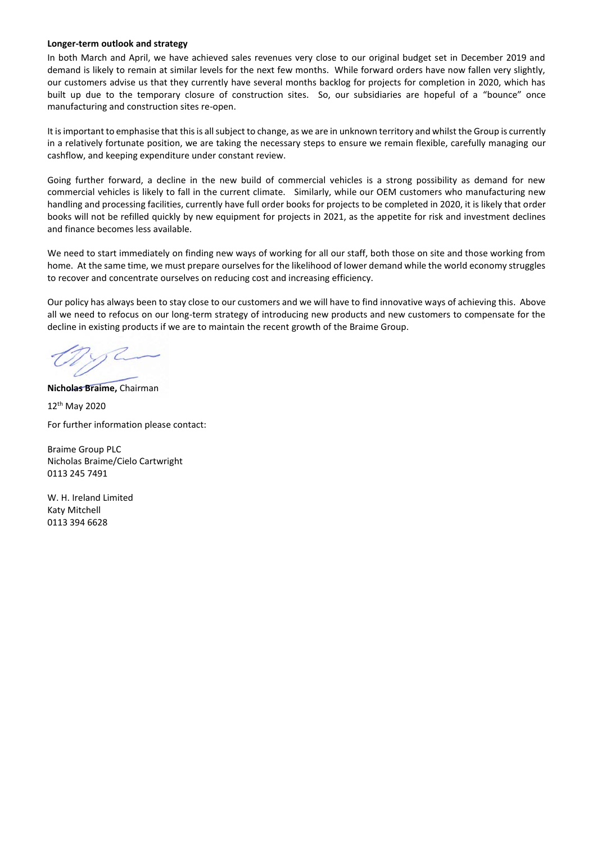#### **Longer-term outlook and strategy**

In both March and April, we have achieved sales revenues very close to our original budget set in December 2019 and demand is likely to remain at similar levels for the next few months. While forward orders have now fallen very slightly, our customers advise us that they currently have several months backlog for projects for completion in 2020, which has built up due to the temporary closure of construction sites. So, our subsidiaries are hopeful of a "bounce" once manufacturing and construction sites re-open.

It is important to emphasise that this is all subject to change, as we are in unknown territory and whilst the Group is currently in a relatively fortunate position, we are taking the necessary steps to ensure we remain flexible, carefully managing our cashflow, and keeping expenditure under constant review.

Going further forward, a decline in the new build of commercial vehicles is a strong possibility as demand for new commercial vehicles is likely to fall in the current climate. Similarly, while our OEM customers who manufacturing new handling and processing facilities, currently have full order books for projects to be completed in 2020, it is likely that order books will not be refilled quickly by new equipment for projects in 2021, as the appetite for risk and investment declines and finance becomes less available.

We need to start immediately on finding new ways of working for all our staff, both those on site and those working from home. At the same time, we must prepare ourselves for the likelihood of lower demand while the world economy struggles to recover and concentrate ourselves on reducing cost and increasing efficiency.

Our policy has always been to stay close to our customers and we will have to find innovative ways of achieving this. Above all we need to refocus on our long-term strategy of introducing new products and new customers to compensate for the decline in existing products if we are to maintain the recent growth of the Braime Group.

**Nicholas Braime,** Chairman

12th May 2020 For further information please contact:

Braime Group PLC Nicholas Braime/Cielo Cartwright 0113 245 7491

W. H. Ireland Limited Katy Mitchell 0113 394 6628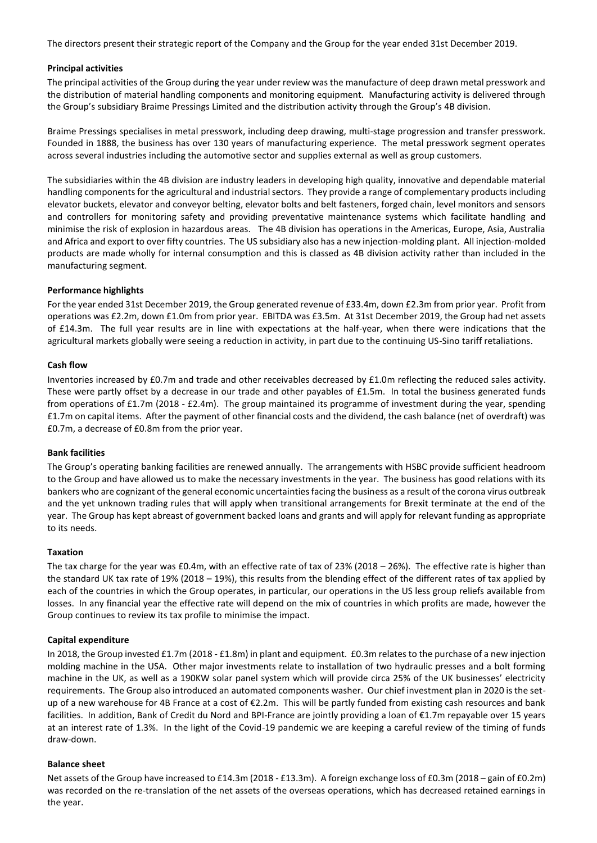The directors present their strategic report of the Company and the Group for the year ended 31st December 2019.

#### **Principal activities**

The principal activities of the Group during the year under review was the manufacture of deep drawn metal presswork and the distribution of material handling components and monitoring equipment. Manufacturing activity is delivered through the Group's subsidiary Braime Pressings Limited and the distribution activity through the Group's 4B division.

Braime Pressings specialises in metal presswork, including deep drawing, multi-stage progression and transfer presswork. Founded in 1888, the business has over 130 years of manufacturing experience. The metal presswork segment operates across several industries including the automotive sector and supplies external as well as group customers.

The subsidiaries within the 4B division are industry leaders in developing high quality, innovative and dependable material handling components for the agricultural and industrial sectors. They provide a range of complementary products including elevator buckets, elevator and conveyor belting, elevator bolts and belt fasteners, forged chain, level monitors and sensors and controllers for monitoring safety and providing preventative maintenance systems which facilitate handling and minimise the risk of explosion in hazardous areas. The 4B division has operations in the Americas, Europe, Asia, Australia and Africa and export to over fifty countries. The US subsidiary also has a new injection-molding plant. All injection-molded products are made wholly for internal consumption and this is classed as 4B division activity rather than included in the manufacturing segment.

#### **Performance highlights**

For the year ended 31st December 2019, the Group generated revenue of £33.4m, down £2.3m from prior year. Profit from operations was £2.2m, down £1.0m from prior year. EBITDA was £3.5m. At 31st December 2019, the Group had net assets of £14.3m. The full year results are in line with expectations at the half-year, when there were indications that the agricultural markets globally were seeing a reduction in activity, in part due to the continuing US-Sino tariff retaliations.

#### **Cash flow**

Inventories increased by £0.7m and trade and other receivables decreased by £1.0m reflecting the reduced sales activity. These were partly offset by a decrease in our trade and other payables of £1.5m. In total the business generated funds from operations of £1.7m (2018 - £2.4m). The group maintained its programme of investment during the year, spending £1.7m on capital items. After the payment of other financial costs and the dividend, the cash balance (net of overdraft) was £0.7m, a decrease of £0.8m from the prior year.

#### **Bank facilities**

The Group's operating banking facilities are renewed annually. The arrangements with HSBC provide sufficient headroom to the Group and have allowed us to make the necessary investments in the year. The business has good relations with its bankers who are cognizant of the general economic uncertainties facing the business as a result of the corona virus outbreak and the yet unknown trading rules that will apply when transitional arrangements for Brexit terminate at the end of the year. The Group has kept abreast of government backed loans and grants and will apply for relevant funding as appropriate to its needs.

#### **Taxation**

The tax charge for the year was £0.4m, with an effective rate of tax of 23% (2018 – 26%). The effective rate is higher than the standard UK tax rate of 19% (2018 – 19%), this results from the blending effect of the different rates of tax applied by each of the countries in which the Group operates, in particular, our operations in the US less group reliefs available from losses. In any financial year the effective rate will depend on the mix of countries in which profits are made, however the Group continues to review its tax profile to minimise the impact.

#### **Capital expenditure**

In 2018, the Group invested £1.7m (2018 - £1.8m) in plant and equipment. £0.3m relates to the purchase of a new injection molding machine in the USA. Other major investments relate to installation of two hydraulic presses and a bolt forming machine in the UK, as well as a 190KW solar panel system which will provide circa 25% of the UK businesses' electricity requirements. The Group also introduced an automated components washer. Our chief investment plan in 2020 is the setup of a new warehouse for 4B France at a cost of €2.2m. This will be partly funded from existing cash resources and bank facilities. In addition, Bank of Credit du Nord and BPI-France are jointly providing a loan of €1.7m repayable over 15 years at an interest rate of 1.3%. In the light of the Covid-19 pandemic we are keeping a careful review of the timing of funds draw-down.

#### **Balance sheet**

Net assets of the Group have increased to £14.3m (2018 - £13.3m). A foreign exchange loss of £0.3m (2018 – gain of £0.2m) was recorded on the re-translation of the net assets of the overseas operations, which has decreased retained earnings in the year.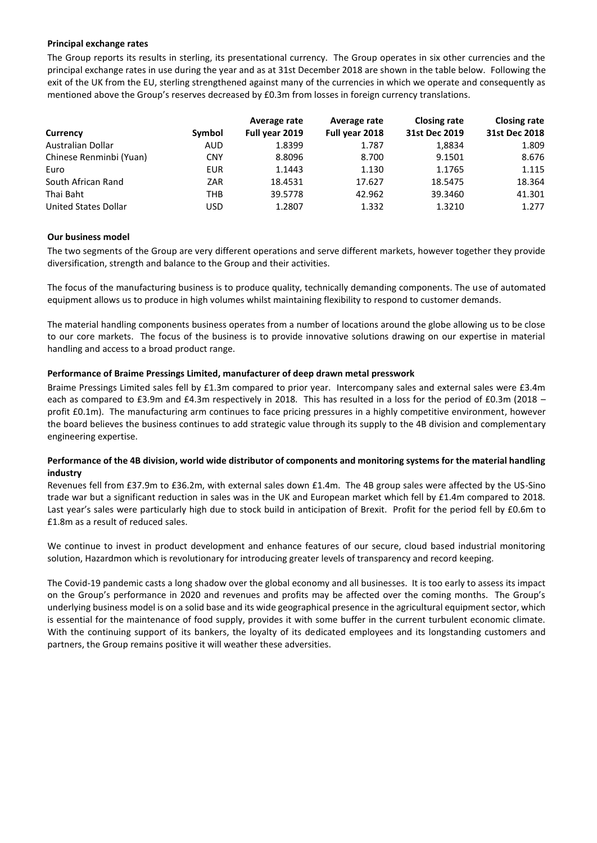#### **Principal exchange rates**

The Group reports its results in sterling, its presentational currency. The Group operates in six other currencies and the principal exchange rates in use during the year and as at 31st December 2018 are shown in the table below. Following the exit of the UK from the EU, sterling strengthened against many of the currencies in which we operate and consequently as mentioned above the Group's reserves decreased by £0.3m from losses in foreign currency translations.

|                         |            | Average rate   | Average rate   | <b>Closing rate</b> | <b>Closing rate</b> |
|-------------------------|------------|----------------|----------------|---------------------|---------------------|
| Currency                | Symbol     | Full year 2019 | Full year 2018 | 31st Dec 2019       | 31st Dec 2018       |
| Australian Dollar       | <b>AUD</b> | 1.8399         | 1.787          | 1,8834              | 1.809               |
| Chinese Renminbi (Yuan) | <b>CNY</b> | 8.8096         | 8.700          | 9.1501              | 8.676               |
| Euro                    | EUR        | 1.1443         | 1.130          | 1.1765              | 1.115               |
| South African Rand      | ZAR        | 18.4531        | 17.627         | 18.5475             | 18.364              |
| Thai Baht               | THB        | 39.5778        | 42.962         | 39.3460             | 41.301              |
| United States Dollar    | USD        | 1.2807         | 1.332          | 1.3210              | 1.277               |

## **Our business model**

The two segments of the Group are very different operations and serve different markets, however together they provide diversification, strength and balance to the Group and their activities.

The focus of the manufacturing business is to produce quality, technically demanding components. The use of automated equipment allows us to produce in high volumes whilst maintaining flexibility to respond to customer demands.

The material handling components business operates from a number of locations around the globe allowing us to be close to our core markets. The focus of the business is to provide innovative solutions drawing on our expertise in material handling and access to a broad product range.

#### **Performance of Braime Pressings Limited, manufacturer of deep drawn metal presswork**

Braime Pressings Limited sales fell by £1.3m compared to prior year. Intercompany sales and external sales were £3.4m each as compared to £3.9m and £4.3m respectively in 2018. This has resulted in a loss for the period of £0.3m (2018 – profit £0.1m). The manufacturing arm continues to face pricing pressures in a highly competitive environment, however the board believes the business continues to add strategic value through its supply to the 4B division and complementary engineering expertise.

## **Performance of the 4B division, world wide distributor of components and monitoring systems for the material handling industry**

Revenues fell from £37.9m to £36.2m, with external sales down £1.4m. The 4B group sales were affected by the US-Sino trade war but a significant reduction in sales was in the UK and European market which fell by £1.4m compared to 2018. Last year's sales were particularly high due to stock build in anticipation of Brexit. Profit for the period fell by £0.6m to £1.8m as a result of reduced sales.

We continue to invest in product development and enhance features of our secure, cloud based industrial monitoring solution, Hazardmon which is revolutionary for introducing greater levels of transparency and record keeping.

The Covid-19 pandemic casts a long shadow over the global economy and all businesses. It is too early to assess its impact on the Group's performance in 2020 and revenues and profits may be affected over the coming months. The Group's underlying business model is on a solid base and its wide geographical presence in the agricultural equipment sector, which is essential for the maintenance of food supply, provides it with some buffer in the current turbulent economic climate. With the continuing support of its bankers, the loyalty of its dedicated employees and its longstanding customers and partners, the Group remains positive it will weather these adversities.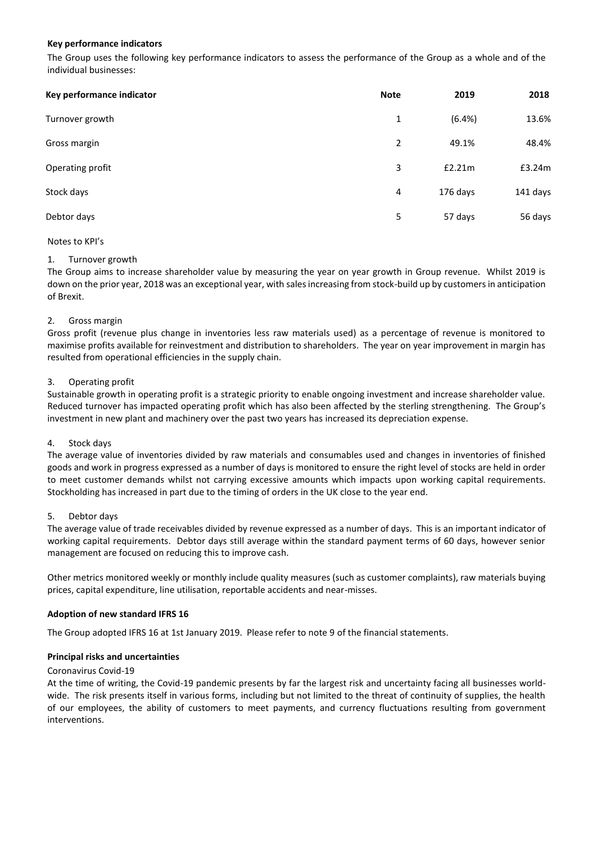## **Key performance indicators**

The Group uses the following key performance indicators to assess the performance of the Group as a whole and of the individual businesses:

| Key performance indicator | <b>Note</b> | 2019     | 2018     |
|---------------------------|-------------|----------|----------|
| Turnover growth           | 1           | (6.4%)   | 13.6%    |
| Gross margin              | 2           | 49.1%    | 48.4%    |
| Operating profit          | 3           | £2.21m   | £3.24m   |
| Stock days                | 4           | 176 days | 141 days |
| Debtor days               | 5           | 57 days  | 56 days  |

## Notes to KPI's

## 1. Turnover growth

The Group aims to increase shareholder value by measuring the year on year growth in Group revenue. Whilst 2019 is down on the prior year, 2018 was an exceptional year, with sales increasing from stock-build up by customers in anticipation of Brexit.

## 2. Gross margin

Gross profit (revenue plus change in inventories less raw materials used) as a percentage of revenue is monitored to maximise profits available for reinvestment and distribution to shareholders. The year on year improvement in margin has resulted from operational efficiencies in the supply chain.

## 3. Operating profit

Sustainable growth in operating profit is a strategic priority to enable ongoing investment and increase shareholder value. Reduced turnover has impacted operating profit which has also been affected by the sterling strengthening. The Group's investment in new plant and machinery over the past two years has increased its depreciation expense.

## 4. Stock days

The average value of inventories divided by raw materials and consumables used and changes in inventories of finished goods and work in progress expressed as a number of days is monitored to ensure the right level of stocks are held in order to meet customer demands whilst not carrying excessive amounts which impacts upon working capital requirements. Stockholding has increased in part due to the timing of orders in the UK close to the year end.

## 5. Debtor days

The average value of trade receivables divided by revenue expressed as a number of days. This is an important indicator of working capital requirements. Debtor days still average within the standard payment terms of 60 days, however senior management are focused on reducing this to improve cash.

Other metrics monitored weekly or monthly include quality measures (such as customer complaints), raw materials buying prices, capital expenditure, line utilisation, reportable accidents and near-misses.

## **Adoption of new standard IFRS 16**

The Group adopted IFRS 16 at 1st January 2019. Please refer to note 9 of the financial statements.

## **Principal risks and uncertainties**

#### Coronavirus Covid-19

At the time of writing, the Covid-19 pandemic presents by far the largest risk and uncertainty facing all businesses worldwide. The risk presents itself in various forms, including but not limited to the threat of continuity of supplies, the health of our employees, the ability of customers to meet payments, and currency fluctuations resulting from government interventions.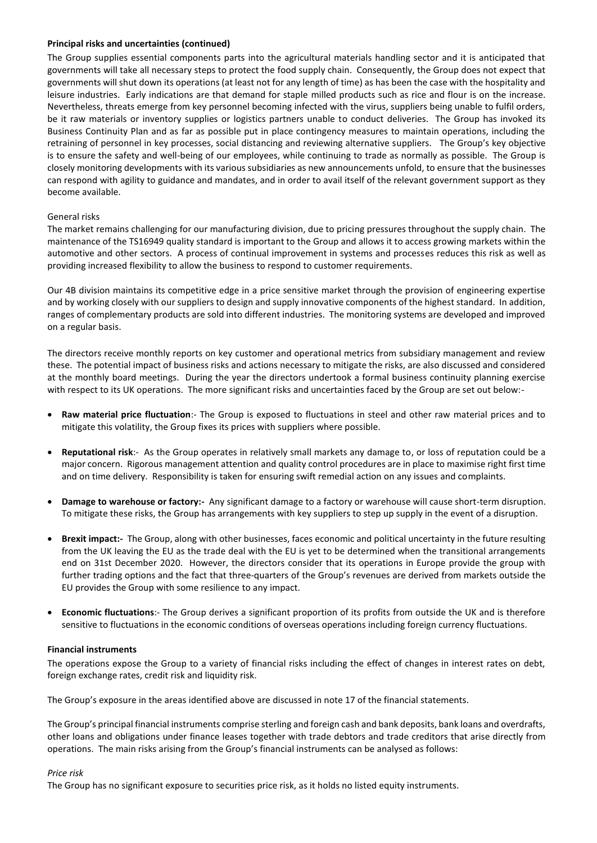## **Principal risks and uncertainties (continued)**

The Group supplies essential components parts into the agricultural materials handling sector and it is anticipated that governments will take all necessary steps to protect the food supply chain. Consequently, the Group does not expect that governments will shut down its operations (at least not for any length of time) as has been the case with the hospitality and leisure industries. Early indications are that demand for staple milled products such as rice and flour is on the increase. Nevertheless, threats emerge from key personnel becoming infected with the virus, suppliers being unable to fulfil orders, be it raw materials or inventory supplies or logistics partners unable to conduct deliveries. The Group has invoked its Business Continuity Plan and as far as possible put in place contingency measures to maintain operations, including the retraining of personnel in key processes, social distancing and reviewing alternative suppliers. The Group's key objective is to ensure the safety and well-being of our employees, while continuing to trade as normally as possible. The Group is closely monitoring developments with its various subsidiaries as new announcements unfold, to ensure that the businesses can respond with agility to guidance and mandates, and in order to avail itself of the relevant government support as they become available.

# General risks

The market remains challenging for our manufacturing division, due to pricing pressures throughout the supply chain. The maintenance of the TS16949 quality standard is important to the Group and allows it to access growing markets within the automotive and other sectors. A process of continual improvement in systems and processes reduces this risk as well as providing increased flexibility to allow the business to respond to customer requirements.

Our 4B division maintains its competitive edge in a price sensitive market through the provision of engineering expertise and by working closely with our suppliers to design and supply innovative components of the highest standard. In addition, ranges of complementary products are sold into different industries. The monitoring systems are developed and improved on a regular basis.

The directors receive monthly reports on key customer and operational metrics from subsidiary management and review these. The potential impact of business risks and actions necessary to mitigate the risks, are also discussed and considered at the monthly board meetings. During the year the directors undertook a formal business continuity planning exercise with respect to its UK operations. The more significant risks and uncertainties faced by the Group are set out below:-

- **Raw material price fluctuation**:- The Group is exposed to fluctuations in steel and other raw material prices and to mitigate this volatility, the Group fixes its prices with suppliers where possible.
- **Reputational risk**:- As the Group operates in relatively small markets any damage to, or loss of reputation could be a major concern. Rigorous management attention and quality control procedures are in place to maximise right first time and on time delivery. Responsibility is taken for ensuring swift remedial action on any issues and complaints.
- **Damage to warehouse or factory:-** Any significant damage to a factory or warehouse will cause short-term disruption. To mitigate these risks, the Group has arrangements with key suppliers to step up supply in the event of a disruption.
- **Brexit impact:-** The Group, along with other businesses, faces economic and political uncertainty in the future resulting from the UK leaving the EU as the trade deal with the EU is yet to be determined when the transitional arrangements end on 31st December 2020. However, the directors consider that its operations in Europe provide the group with further trading options and the fact that three-quarters of the Group's revenues are derived from markets outside the EU provides the Group with some resilience to any impact.
- **Economic fluctuations**:- The Group derives a significant proportion of its profits from outside the UK and is therefore sensitive to fluctuations in the economic conditions of overseas operations including foreign currency fluctuations.

## **Financial instruments**

The operations expose the Group to a variety of financial risks including the effect of changes in interest rates on debt, foreign exchange rates, credit risk and liquidity risk.

The Group's exposure in the areas identified above are discussed in note 17 of the financial statements.

The Group's principal financial instruments comprise sterling and foreign cash and bank deposits, bank loans and overdrafts, other loans and obligations under finance leases together with trade debtors and trade creditors that arise directly from operations. The main risks arising from the Group's financial instruments can be analysed as follows:

## *Price risk*

The Group has no significant exposure to securities price risk, as it holds no listed equity instruments.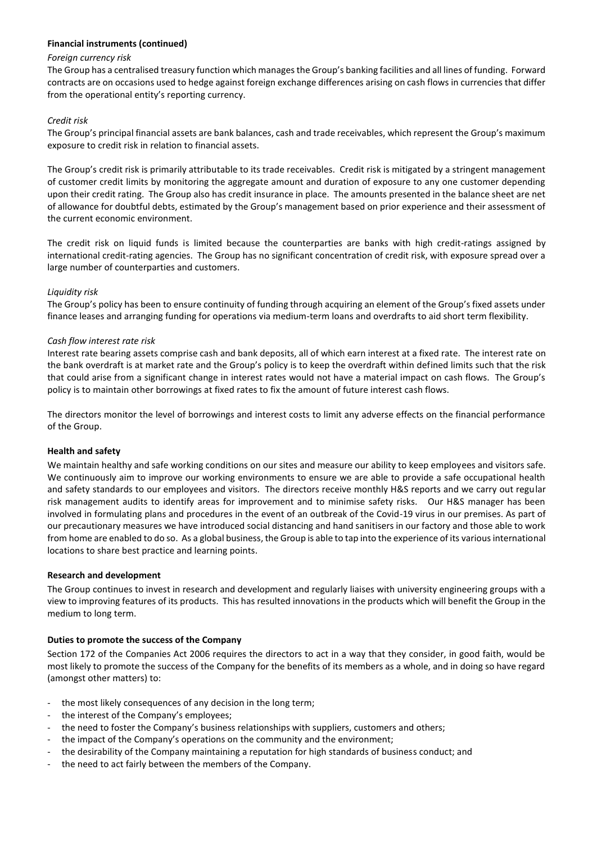# **Financial instruments (continued)**

## *Foreign currency risk*

The Group has a centralised treasury function which manages the Group's banking facilities and all lines of funding. Forward contracts are on occasions used to hedge against foreign exchange differences arising on cash flows in currencies that differ from the operational entity's reporting currency.

# *Credit risk*

The Group's principal financial assets are bank balances, cash and trade receivables, which represent the Group's maximum exposure to credit risk in relation to financial assets.

The Group's credit risk is primarily attributable to its trade receivables. Credit risk is mitigated by a stringent management of customer credit limits by monitoring the aggregate amount and duration of exposure to any one customer depending upon their credit rating. The Group also has credit insurance in place. The amounts presented in the balance sheet are net of allowance for doubtful debts, estimated by the Group's management based on prior experience and their assessment of the current economic environment.

The credit risk on liquid funds is limited because the counterparties are banks with high credit-ratings assigned by international credit-rating agencies. The Group has no significant concentration of credit risk, with exposure spread over a large number of counterparties and customers.

## *Liquidity risk*

The Group's policy has been to ensure continuity of funding through acquiring an element of the Group's fixed assets under finance leases and arranging funding for operations via medium-term loans and overdrafts to aid short term flexibility.

## *Cash flow interest rate risk*

Interest rate bearing assets comprise cash and bank deposits, all of which earn interest at a fixed rate. The interest rate on the bank overdraft is at market rate and the Group's policy is to keep the overdraft within defined limits such that the risk that could arise from a significant change in interest rates would not have a material impact on cash flows. The Group's policy is to maintain other borrowings at fixed rates to fix the amount of future interest cash flows.

The directors monitor the level of borrowings and interest costs to limit any adverse effects on the financial performance of the Group.

## **Health and safety**

We maintain healthy and safe working conditions on our sites and measure our ability to keep employees and visitors safe. We continuously aim to improve our working environments to ensure we are able to provide a safe occupational health and safety standards to our employees and visitors. The directors receive monthly H&S reports and we carry out regular risk management audits to identify areas for improvement and to minimise safety risks. Our H&S manager has been involved in formulating plans and procedures in the event of an outbreak of the Covid-19 virus in our premises. As part of our precautionary measures we have introduced social distancing and hand sanitisers in our factory and those able to work from home are enabled to do so. As a global business, the Group is able to tap into the experience of its various international locations to share best practice and learning points.

## **Research and development**

The Group continues to invest in research and development and regularly liaises with university engineering groups with a view to improving features of its products. This has resulted innovations in the products which will benefit the Group in the medium to long term.

## **Duties to promote the success of the Company**

Section 172 of the Companies Act 2006 requires the directors to act in a way that they consider, in good faith, would be most likely to promote the success of the Company for the benefits of its members as a whole, and in doing so have regard (amongst other matters) to:

- the most likely consequences of any decision in the long term;
- the interest of the Company's employees;
- the need to foster the Company's business relationships with suppliers, customers and others;
- the impact of the Company's operations on the community and the environment;
- the desirability of the Company maintaining a reputation for high standards of business conduct; and
- the need to act fairly between the members of the Company.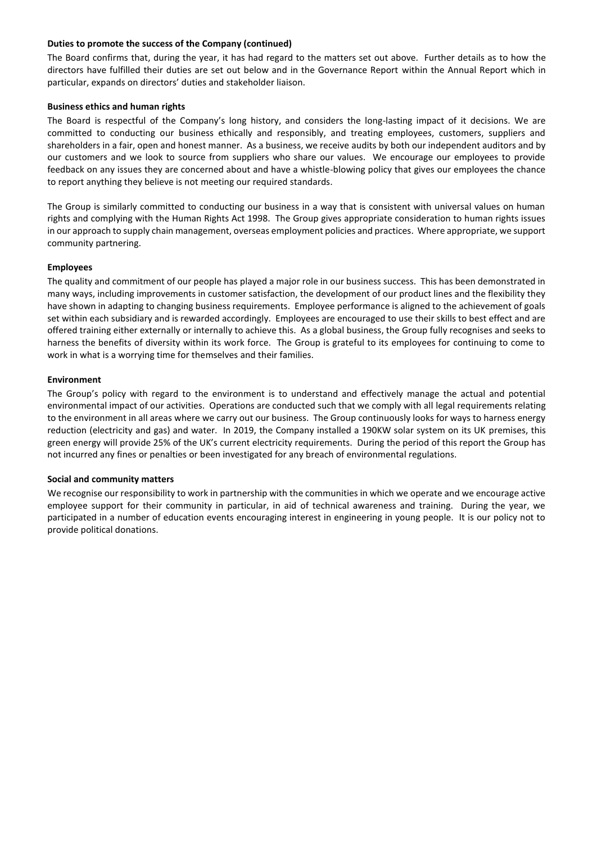## **Duties to promote the success of the Company (continued)**

The Board confirms that, during the year, it has had regard to the matters set out above. Further details as to how the directors have fulfilled their duties are set out below and in the Governance Report within the Annual Report which in particular, expands on directors' duties and stakeholder liaison.

## **Business ethics and human rights**

The Board is respectful of the Company's long history, and considers the long-lasting impact of it decisions. We are committed to conducting our business ethically and responsibly, and treating employees, customers, suppliers and shareholders in a fair, open and honest manner. As a business, we receive audits by both our independent auditors and by our customers and we look to source from suppliers who share our values. We encourage our employees to provide feedback on any issues they are concerned about and have a whistle-blowing policy that gives our employees the chance to report anything they believe is not meeting our required standards.

The Group is similarly committed to conducting our business in a way that is consistent with universal values on human rights and complying with the Human Rights Act 1998. The Group gives appropriate consideration to human rights issues in our approach to supply chain management, overseas employment policies and practices. Where appropriate, we support community partnering.

# **Employees**

The quality and commitment of our people has played a major role in our business success. This has been demonstrated in many ways, including improvements in customer satisfaction, the development of our product lines and the flexibility they have shown in adapting to changing business requirements. Employee performance is aligned to the achievement of goals set within each subsidiary and is rewarded accordingly. Employees are encouraged to use their skills to best effect and are offered training either externally or internally to achieve this. As a global business, the Group fully recognises and seeks to harness the benefits of diversity within its work force. The Group is grateful to its employees for continuing to come to work in what is a worrying time for themselves and their families.

# **Environment**

The Group's policy with regard to the environment is to understand and effectively manage the actual and potential environmental impact of our activities. Operations are conducted such that we comply with all legal requirements relating to the environment in all areas where we carry out our business. The Group continuously looks for ways to harness energy reduction (electricity and gas) and water. In 2019, the Company installed a 190KW solar system on its UK premises, this green energy will provide 25% of the UK's current electricity requirements. During the period of this report the Group has not incurred any fines or penalties or been investigated for any breach of environmental regulations.

## **Social and community matters**

We recognise our responsibility to work in partnership with the communities in which we operate and we encourage active employee support for their community in particular, in aid of technical awareness and training. During the year, we participated in a number of education events encouraging interest in engineering in young people. It is our policy not to provide political donations.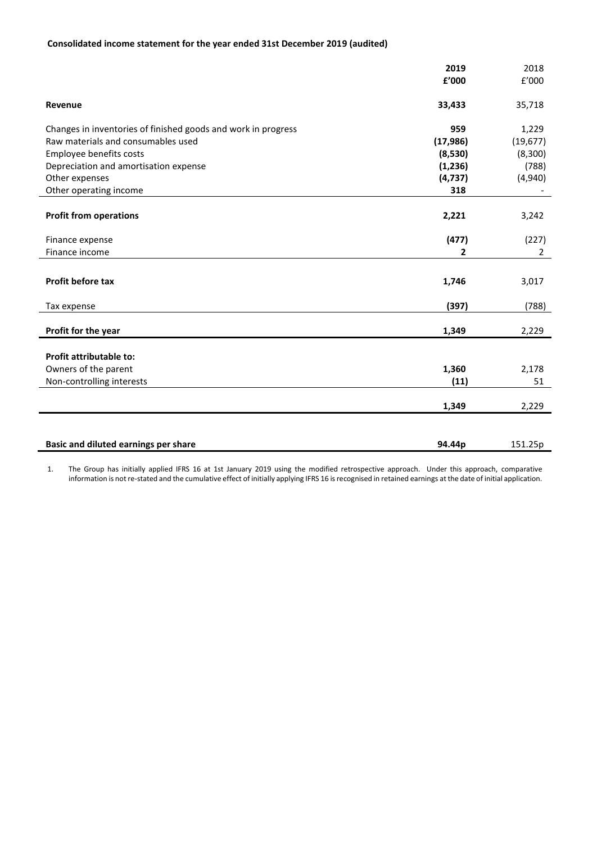# **Consolidated income statement for the year ended 31st December 2019 (audited)**

|                                                               | 2019      | 2018           |
|---------------------------------------------------------------|-----------|----------------|
|                                                               | £'000     | E'000          |
| Revenue                                                       | 33,433    | 35,718         |
| Changes in inventories of finished goods and work in progress | 959       | 1,229          |
| Raw materials and consumables used                            | (17, 986) | (19, 677)      |
| Employee benefits costs                                       | (8,530)   | (8,300)        |
| Depreciation and amortisation expense                         | (1,236)   | (788)          |
| Other expenses                                                | (4, 737)  | (4,940)        |
| Other operating income                                        | 318       |                |
| <b>Profit from operations</b>                                 | 2,221     | 3,242          |
| Finance expense                                               | (477)     | (227)          |
| Finance income                                                | 2         | $\overline{2}$ |
| Profit before tax                                             | 1,746     | 3,017          |
| Tax expense                                                   | (397)     | (788)          |
|                                                               |           |                |
| Profit for the year                                           | 1,349     | 2,229          |
| Profit attributable to:                                       |           |                |
| Owners of the parent                                          | 1,360     | 2,178          |
| Non-controlling interests                                     | (11)      | 51             |
|                                                               | 1,349     | 2,229          |
|                                                               |           |                |
| Basic and diluted earnings per share                          | 94.44p    | 151.25p        |

1. The Group has initially applied IFRS 16 at 1st January 2019 using the modified retrospective approach. Under this approach, comparative information is not re-stated and the cumulative effect of initially applying IFRS 16 is recognised in retained earnings at the date of initial application.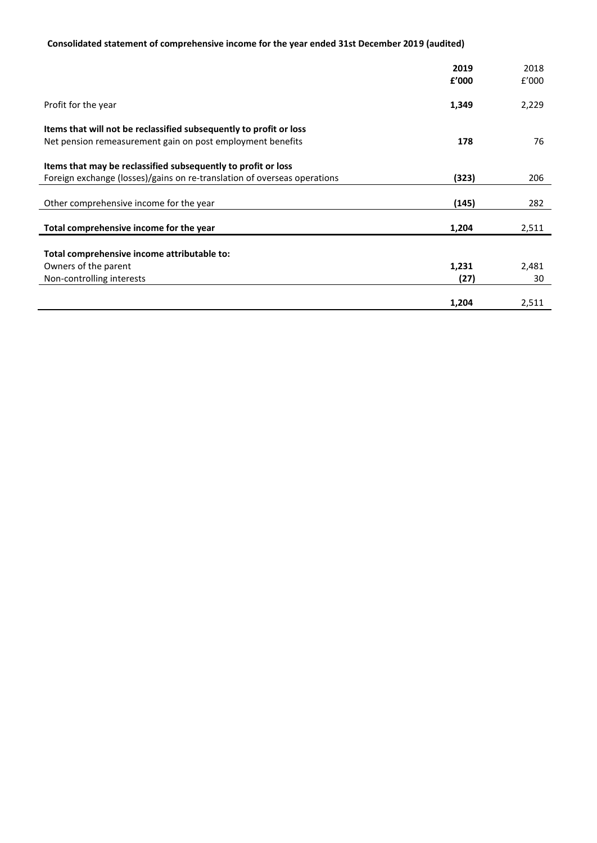# **Consolidated statement of comprehensive income for the year ended 31st December 2019 (audited)**

|                                                                          | 2019<br>f'000 | 2018<br>f'000 |
|--------------------------------------------------------------------------|---------------|---------------|
|                                                                          |               |               |
| Profit for the year                                                      | 1,349         | 2,229         |
| Items that will not be reclassified subsequently to profit or loss       |               |               |
| Net pension remeasurement gain on post employment benefits               | 178           | 76            |
| Items that may be reclassified subsequently to profit or loss            |               |               |
| Foreign exchange (losses)/gains on re-translation of overseas operations | (323)         | 206           |
| Other comprehensive income for the year                                  | (145)         | 282           |
|                                                                          |               |               |
| Total comprehensive income for the year                                  | 1,204         | 2,511         |
| Total comprehensive income attributable to:                              |               |               |
| Owners of the parent                                                     | 1,231         | 2,481         |
| Non-controlling interests                                                | (27)          | 30            |
|                                                                          |               |               |
|                                                                          | 1,204         | 2,511         |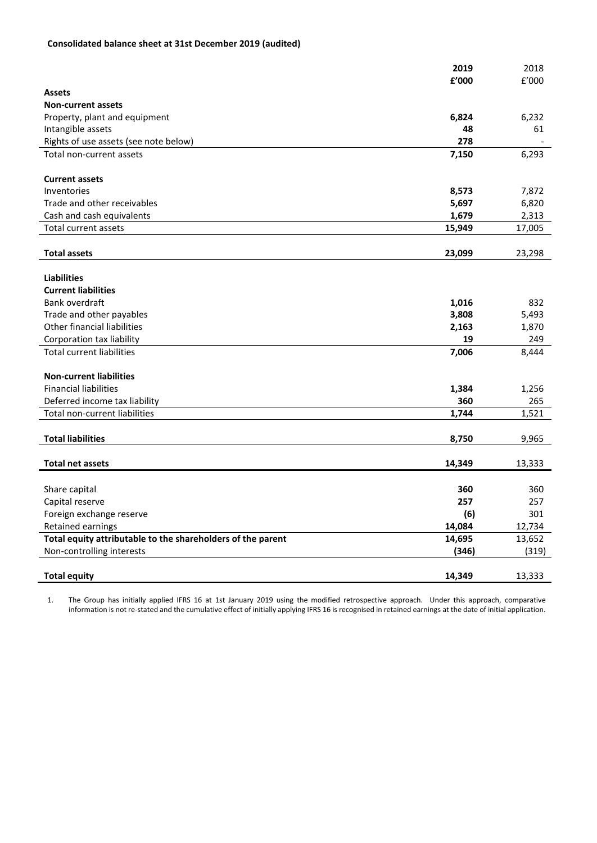# **Consolidated balance sheet at 31st December 2019 (audited)**

|                                                             | 2019   | 2018   |
|-------------------------------------------------------------|--------|--------|
|                                                             | £'000  | f'000  |
| <b>Assets</b>                                               |        |        |
| <b>Non-current assets</b>                                   |        |        |
| Property, plant and equipment                               | 6,824  | 6,232  |
| Intangible assets                                           | 48     | 61     |
| Rights of use assets (see note below)                       | 278    |        |
| Total non-current assets                                    | 7,150  | 6,293  |
|                                                             |        |        |
| <b>Current assets</b>                                       |        |        |
| Inventories                                                 | 8,573  | 7,872  |
| Trade and other receivables                                 | 5,697  | 6,820  |
| Cash and cash equivalents                                   | 1,679  | 2,313  |
| Total current assets                                        | 15,949 | 17,005 |
|                                                             |        |        |
| <b>Total assets</b>                                         | 23,099 | 23,298 |
|                                                             |        |        |
| <b>Liabilities</b>                                          |        |        |
| <b>Current liabilities</b>                                  |        |        |
| Bank overdraft                                              | 1,016  | 832    |
| Trade and other payables                                    | 3,808  | 5,493  |
| Other financial liabilities                                 | 2,163  | 1,870  |
| Corporation tax liability                                   | 19     | 249    |
| <b>Total current liabilities</b>                            | 7,006  | 8,444  |
|                                                             |        |        |
| <b>Non-current liabilities</b>                              |        |        |
| <b>Financial liabilities</b>                                | 1,384  | 1,256  |
| Deferred income tax liability                               | 360    | 265    |
| Total non-current liabilities                               | 1,744  | 1,521  |
|                                                             |        |        |
| <b>Total liabilities</b>                                    | 8,750  | 9,965  |
|                                                             |        |        |
| <b>Total net assets</b>                                     | 14,349 | 13,333 |
|                                                             |        |        |
| Share capital                                               | 360    | 360    |
| Capital reserve                                             | 257    | 257    |
| Foreign exchange reserve                                    | (6)    | 301    |
| Retained earnings                                           | 14,084 | 12,734 |
| Total equity attributable to the shareholders of the parent | 14,695 | 13,652 |
| Non-controlling interests                                   | (346)  | (319)  |
|                                                             |        |        |
| <b>Total equity</b>                                         | 14,349 | 13,333 |

1. The Group has initially applied IFRS 16 at 1st January 2019 using the modified retrospective approach. Under this approach, comparative information is not re-stated and the cumulative effect of initially applying IFRS 16 is recognised in retained earnings at the date of initial application.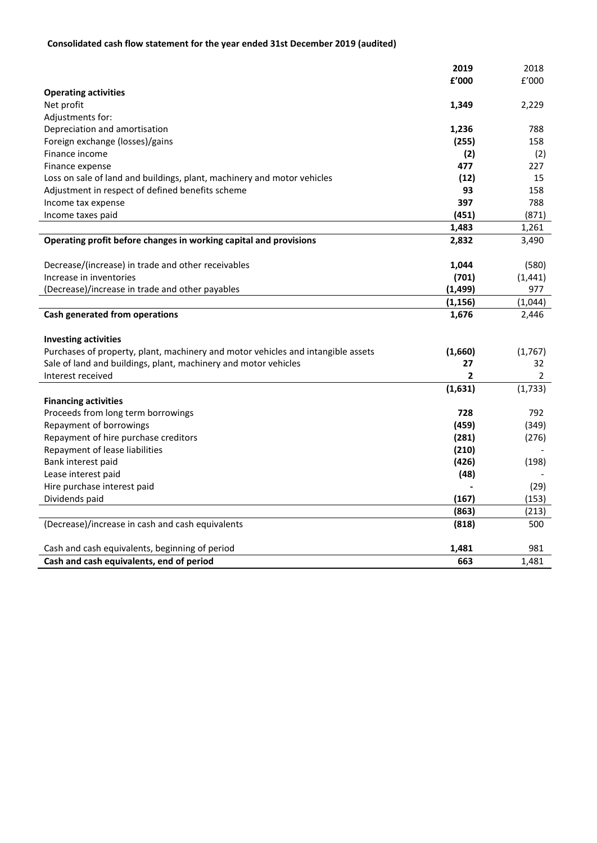# **Consolidated cash flow statement for the year ended 31st December 2019 (audited)**

|                                                                                  | 2019           | 2018           |
|----------------------------------------------------------------------------------|----------------|----------------|
|                                                                                  | f'000          | f'000          |
| <b>Operating activities</b>                                                      |                |                |
| Net profit                                                                       | 1,349          | 2,229          |
| Adjustments for:                                                                 |                |                |
| Depreciation and amortisation                                                    | 1,236          | 788            |
| Foreign exchange (losses)/gains                                                  | (255)          | 158            |
| Finance income                                                                   | (2)            | (2)            |
| Finance expense                                                                  | 477            | 227            |
| Loss on sale of land and buildings, plant, machinery and motor vehicles          | (12)           | 15             |
| Adjustment in respect of defined benefits scheme                                 | 93             | 158            |
| Income tax expense                                                               | 397            | 788            |
| Income taxes paid                                                                | (451)          | (871)          |
|                                                                                  | 1,483          | 1,261          |
| Operating profit before changes in working capital and provisions                | 2,832          | 3,490          |
| Decrease/(increase) in trade and other receivables                               | 1,044          | (580)          |
| Increase in inventories                                                          | (701)          | (1, 441)       |
| (Decrease)/increase in trade and other payables                                  | (1, 499)       | 977            |
|                                                                                  | (1, 156)       | (1,044)        |
| Cash generated from operations                                                   | 1,676          | 2,446          |
| <b>Investing activities</b>                                                      |                |                |
| Purchases of property, plant, machinery and motor vehicles and intangible assets | (1,660)        | (1,767)        |
| Sale of land and buildings, plant, machinery and motor vehicles                  | 27             | 32             |
| Interest received                                                                | $\overline{2}$ | $\overline{2}$ |
|                                                                                  | (1,631)        | (1,733)        |
| <b>Financing activities</b>                                                      |                |                |
| Proceeds from long term borrowings                                               | 728            | 792            |
| Repayment of borrowings                                                          | (459)          | (349)          |
| Repayment of hire purchase creditors                                             | (281)          | (276)          |
| Repayment of lease liabilities                                                   | (210)          |                |
| Bank interest paid                                                               | (426)          | (198)          |
| Lease interest paid                                                              | (48)           |                |
| Hire purchase interest paid                                                      |                | (29)           |
| Dividends paid                                                                   | (167)          | (153)          |
|                                                                                  | (863)          | (213)          |
| (Decrease)/increase in cash and cash equivalents                                 | (818)          | 500            |
| Cash and cash equivalents, beginning of period                                   | 1,481          | 981            |
| Cash and cash equivalents, end of period                                         | 663            | 1.481          |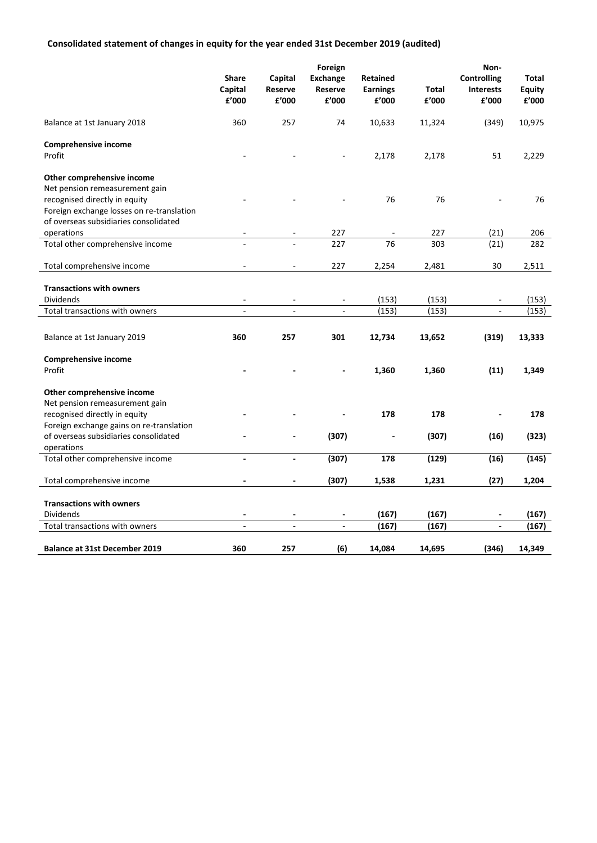# **Consolidated statement of changes in equity for the year ended 31st December 2019 (audited)**

|                                              |                                    |                             | Foreign                             |                                      |                | Non-                                            |                                 |
|----------------------------------------------|------------------------------------|-----------------------------|-------------------------------------|--------------------------------------|----------------|-------------------------------------------------|---------------------------------|
|                                              | <b>Share</b><br>Capital<br>£'000   | Capital<br>Reserve<br>£'000 | <b>Exchange</b><br>Reserve<br>£'000 | Retained<br><b>Earnings</b><br>£'000 | Total<br>£'000 | <b>Controlling</b><br><b>Interests</b><br>£'000 | Total<br><b>Equity</b><br>£'000 |
| Balance at 1st January 2018                  | 360                                | 257                         | 74                                  | 10,633                               | 11,324         | (349)                                           | 10,975                          |
| Comprehensive income                         |                                    |                             |                                     |                                      |                |                                                 |                                 |
| Profit                                       |                                    |                             |                                     | 2,178                                | 2,178          | 51                                              | 2,229                           |
| Other comprehensive income                   |                                    |                             |                                     |                                      |                |                                                 |                                 |
| Net pension remeasurement gain               |                                    |                             |                                     |                                      |                |                                                 |                                 |
| recognised directly in equity                |                                    |                             |                                     | 76                                   | 76             |                                                 | 76                              |
| Foreign exchange losses on re-translation    |                                    |                             |                                     |                                      |                |                                                 |                                 |
| of overseas subsidiaries consolidated        |                                    |                             |                                     |                                      |                |                                                 |                                 |
| operations                                   |                                    |                             | 227                                 |                                      | 227            | (21)                                            | 206                             |
| Total other comprehensive income             |                                    |                             | 227                                 | 76                                   | 303            | (21)                                            | 282                             |
| Total comprehensive income                   |                                    | $\overline{\phantom{a}}$    | 227                                 | 2,254                                | 2,481          | 30                                              | 2,511                           |
| <b>Transactions with owners</b>              |                                    |                             |                                     |                                      |                |                                                 |                                 |
| Dividends                                    |                                    |                             |                                     |                                      |                |                                                 |                                 |
| Total transactions with owners               | L.                                 | $\sim$                      | $\overline{\phantom{a}}$<br>L.      | (153)<br>(153)                       | (153)<br>(153) | $\overline{a}$                                  | (153)<br>(153)                  |
|                                              |                                    |                             |                                     |                                      |                |                                                 |                                 |
| Balance at 1st January 2019                  | 360                                | 257                         | 301                                 | 12,734                               | 13,652         | (319)                                           | 13,333                          |
| Comprehensive income                         |                                    |                             |                                     |                                      |                |                                                 |                                 |
| Profit                                       |                                    |                             |                                     | 1,360                                | 1,360          | (11)                                            | 1,349                           |
| Other comprehensive income                   |                                    |                             |                                     |                                      |                |                                                 |                                 |
| Net pension remeasurement gain               |                                    |                             |                                     |                                      |                |                                                 |                                 |
| recognised directly in equity                |                                    |                             |                                     | 178                                  | 178            |                                                 | 178                             |
| Foreign exchange gains on re-translation     |                                    |                             |                                     |                                      |                |                                                 |                                 |
| of overseas subsidiaries consolidated        |                                    |                             | (307)                               | $\qquad \qquad \blacksquare$         | (307)          | (16)                                            | (323)                           |
| operations                                   |                                    |                             |                                     |                                      |                |                                                 |                                 |
| Total other comprehensive income             | $\overline{a}$                     | $\blacksquare$              | (307)                               | 178                                  | (129)          | (16)                                            | (145)                           |
| Total comprehensive income                   | $\blacksquare$                     | $\blacksquare$              | (307)                               | 1,538                                | 1,231          | (27)                                            | 1,204                           |
|                                              |                                    |                             |                                     |                                      |                |                                                 |                                 |
| <b>Transactions with owners</b><br>Dividends |                                    | $\overline{\phantom{a}}$    | $\overline{\phantom{a}}$            | (167)                                | (167)          | $\qquad \qquad \blacksquare$                    | (167)                           |
| Total transactions with owners               | $\qquad \qquad \blacksquare$<br>÷, | $\overline{\phantom{a}}$    | $\overline{a}$                      | (167)                                | (167)          | $\frac{1}{2}$                                   | (167)                           |
|                                              |                                    |                             |                                     |                                      |                |                                                 |                                 |
| <b>Balance at 31st December 2019</b>         | 360                                | 257                         | (6)                                 | 14,084                               | 14,695         | (346)                                           | 14,349                          |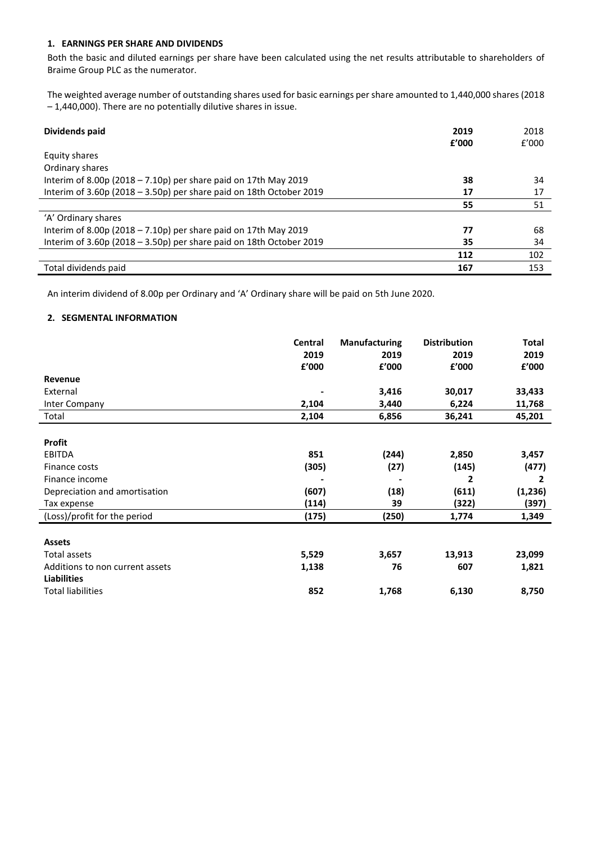## **1. EARNINGS PER SHARE AND DIVIDENDS**

Both the basic and diluted earnings per share have been calculated using the net results attributable to shareholders of Braime Group PLC as the numerator.

The weighted average number of outstanding shares used for basic earnings per share amounted to 1,440,000 shares (2018 – 1,440,000). There are no potentially dilutive shares in issue.

| Dividends paid                                                           | 2019<br>f'000 | 2018<br>f'000 |
|--------------------------------------------------------------------------|---------------|---------------|
| Equity shares                                                            |               |               |
| Ordinary shares                                                          |               |               |
| Interim of 8.00p (2018 – 7.10p) per share paid on 17th May 2019          | 38            | 34            |
| Interim of $3.60p$ (2018 - $3.50p$ ) per share paid on 18th October 2019 | 17            | 17            |
|                                                                          | 55            | 51            |
| 'A' Ordinary shares                                                      |               |               |
| Interim of 8.00p (2018 – 7.10p) per share paid on 17th May 2019          | 77            | 68            |
| Interim of $3.60p$ (2018 - $3.50p$ ) per share paid on 18th October 2019 | 35            | 34            |
|                                                                          | 112           | 102           |
| Total dividends paid                                                     | 167           | 153           |

An interim dividend of 8.00p per Ordinary and 'A' Ordinary share will be paid on 5th June 2020.

## **2. SEGMENTAL INFORMATION**

|                                 | Central | <b>Manufacturing</b> | <b>Distribution</b> | <b>Total</b> |
|---------------------------------|---------|----------------------|---------------------|--------------|
|                                 | 2019    | 2019                 | 2019                | 2019         |
|                                 | £'000   | £'000                | £'000               | £'000        |
| Revenue                         |         |                      |                     |              |
| External                        |         | 3,416                | 30,017              | 33,433       |
| Inter Company                   | 2,104   | 3,440                | 6,224               | 11,768       |
| Total                           | 2,104   | 6,856                | 36,241              | 45,201       |
|                                 |         |                      |                     |              |
| <b>Profit</b>                   |         |                      |                     |              |
| <b>EBITDA</b>                   | 851     | (244)                | 2,850               | 3,457        |
| Finance costs                   | (305)   | (27)                 | (145)               | (477)        |
| Finance income                  |         |                      | $\overline{2}$      | 2            |
| Depreciation and amortisation   | (607)   | (18)                 | (611)               | (1, 236)     |
| Tax expense                     | (114)   | 39                   | (322)               | (397)        |
| (Loss)/profit for the period    | (175)   | (250)                | 1,774               | 1,349        |
|                                 |         |                      |                     |              |
| <b>Assets</b>                   |         |                      |                     |              |
| Total assets                    | 5,529   | 3,657                | 13,913              | 23,099       |
| Additions to non current assets | 1,138   | 76                   | 607                 | 1,821        |
| <b>Liabilities</b>              |         |                      |                     |              |
| <b>Total liabilities</b>        | 852     | 1,768                | 6,130               | 8,750        |